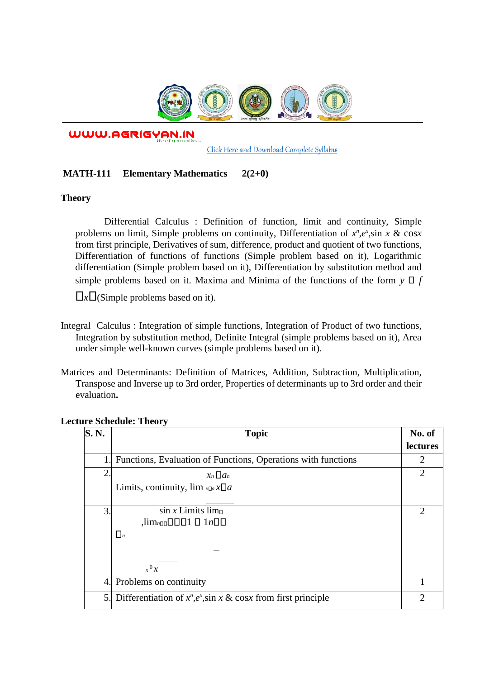

WWW.AGRIGYAN.IN

[Click Here and Download Complete Syllabus](http://agrigyan.in/)

## **MATH-111 Elementary Mathematics 2(2+0)**

## **Theory**

 $\overline{a}$ 

Differential Calculus : Definition of function, limit and continuity, Simple problems on limit, Simple problems on continuity, Differentiation of  $x^n, e^x$ , sin  $x \& \cos x$ from first principle, Derivatives of sum, difference, product and quotient of two functions, Differentiation of functions of functions (Simple problem based on it), Logarithmic differentiation (Simple problem based on it), Differentiation by substitution method and simple problems based on it. Maxima and Minima of the functions of the form  $y \Box f$ 

 $\Box x \Box$  (Simple problems based on it).

- Integral Calculus : Integration of simple functions, Integration of Product of two functions, Integration by substitution method, Definite Integral (simple problems based on it), Area under simple well-known curves (simple problems based on it).
- Matrices and Determinants: Definition of Matrices, Addition, Subtraction, Multiplication, Transpose and Inverse up to 3rd order, Properties of determinants up to 3rd order and their evaluation**.**

| S. N. | <b>Topic</b>                                                      | No. of        |
|-------|-------------------------------------------------------------------|---------------|
|       |                                                                   | lectures      |
|       | Functions, Evaluation of Functions, Operations with functions     | 2             |
| 2.    | $x_n \Box a_n$                                                    |               |
|       | Limits, continuity, $\lim_{x\Box a} x\Box a$                      |               |
| 3.    | $\sin x$ Limits limo                                              | $\mathcal{P}$ |
|       | $\lim_{n\Box\Box} \Box \Box \Box 1 \Box 1 n \Box \Box$            |               |
|       | $\Box_n$                                                          |               |
|       |                                                                   |               |
|       | $x^0 x$                                                           |               |
| 4.    | Problems on continuity                                            |               |
| 5.    | Differentiation of $x^n, e^x$ , sin x & cosx from first principle | 2             |

## **Lecture Schedule: Theory**